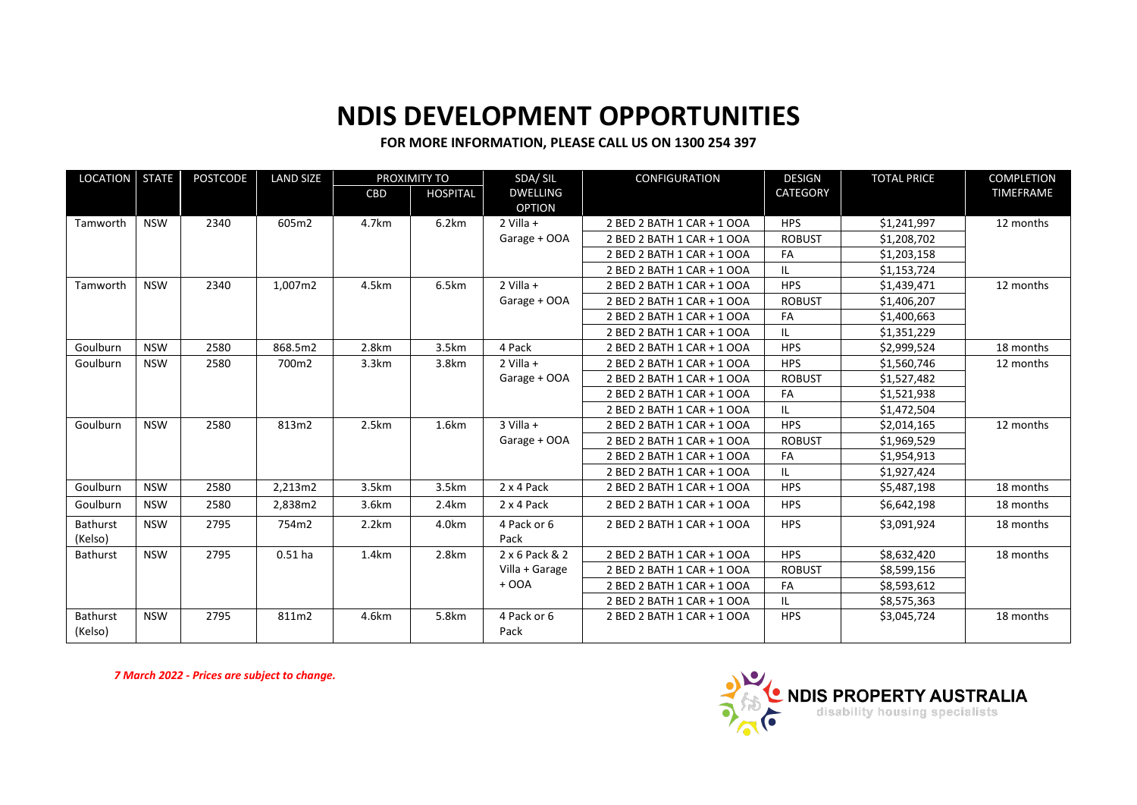## **NDIS DEVELOPMENT OPPORTUNITIES**

## **FOR MORE INFORMATION, PLEASE CALL US ON 1300 254 397**

| <b>LOCATION</b>     | <b>STATE</b> | POSTCODE<br><b>LAND SIZE</b><br>PROXIMITY TO |           |       | SDA/SIL         | <b>CONFIGURATION</b> | <b>DESIGN</b>              | <b>TOTAL PRICE</b> | <b>COMPLETION</b> |           |
|---------------------|--------------|----------------------------------------------|-----------|-------|-----------------|----------------------|----------------------------|--------------------|-------------------|-----------|
|                     |              |                                              |           | CBD   | <b>HOSPITAL</b> | <b>DWELLING</b>      |                            | <b>CATEGORY</b>    |                   | TIMEFRAME |
|                     |              |                                              |           |       |                 | <b>OPTION</b>        |                            |                    |                   |           |
| Tamworth            | <b>NSW</b>   | 2340                                         | 605m2     | 4.7km | 6.2km           | $2$ Villa +          | 2 BED 2 BATH 1 CAR + 1 OOA | <b>HPS</b>         | \$1,241,997       | 12 months |
|                     |              |                                              |           |       |                 | Garage + OOA         | 2 BED 2 BATH 1 CAR + 1 OOA | <b>ROBUST</b>      | \$1,208,702       |           |
|                     |              |                                              |           |       |                 |                      | 2 BED 2 BATH 1 CAR + 1 OOA | FA                 | \$1,203,158       |           |
|                     |              |                                              |           |       |                 |                      | 2 BED 2 BATH 1 CAR + 1 OOA | IL.                | \$1,153,724       |           |
| Tamworth            | <b>NSW</b>   | 2340                                         | 1,007m2   | 4.5km | 6.5km           | $2$ Villa +          | 2 BED 2 BATH 1 CAR + 1 OOA | <b>HPS</b>         | \$1,439,471       | 12 months |
|                     |              |                                              |           |       |                 | Garage + OOA         | 2 BED 2 BATH 1 CAR + 1 OOA | <b>ROBUST</b>      | \$1,406,207       |           |
|                     |              |                                              |           |       |                 |                      | 2 BED 2 BATH 1 CAR + 1 OOA | FA                 | \$1,400,663       |           |
|                     |              |                                              |           |       |                 |                      | 2 BED 2 BATH 1 CAR + 1 OOA | IL                 | \$1,351,229       |           |
| Goulburn            | <b>NSW</b>   | 2580                                         | 868.5m2   | 2.8km | 3.5km           | 4 Pack               | 2 BED 2 BATH 1 CAR + 1 OOA | <b>HPS</b>         | \$2,999,524       | 18 months |
| Goulburn            | <b>NSW</b>   | 2580                                         | 700m2     | 3.3km | 3.8km           | $2$ Villa +          | 2 BED 2 BATH 1 CAR + 1 OOA | <b>HPS</b>         | \$1,560,746       | 12 months |
|                     |              |                                              |           |       |                 | Garage + OOA         | 2 BED 2 BATH 1 CAR + 1 OOA | <b>ROBUST</b>      | \$1,527,482       |           |
|                     |              |                                              |           |       |                 |                      | 2 BED 2 BATH 1 CAR + 1 OOA | FA                 | \$1,521,938       |           |
|                     |              |                                              |           |       |                 |                      | 2 BED 2 BATH 1 CAR + 1 OOA | IL.                | \$1,472,504       |           |
| Goulburn            | <b>NSW</b>   | 2580                                         | 813m2     | 2.5km | 1.6km           | $3$ Villa +          | 2 BED 2 BATH 1 CAR + 1 OOA | <b>HPS</b>         | \$2,014,165       | 12 months |
|                     |              |                                              |           |       |                 | Garage + OOA         | 2 BED 2 BATH 1 CAR + 1 OOA | <b>ROBUST</b>      | \$1,969,529       |           |
|                     |              |                                              |           |       |                 |                      | 2 BED 2 BATH 1 CAR + 1 OOA | FA                 | \$1,954,913       |           |
|                     |              |                                              |           |       |                 |                      | 2 BED 2 BATH 1 CAR + 1 OOA |                    | \$1,927,424       |           |
| Goulburn            | <b>NSW</b>   | 2580                                         | 2,213m2   | 3.5km | 3.5km           | 2 x 4 Pack           | 2 BED 2 BATH 1 CAR + 1 OOA | <b>HPS</b>         | \$5,487,198       | 18 months |
| Goulburn            | <b>NSW</b>   | 2580                                         | 2,838m2   | 3.6km | 2.4km           | 2 x 4 Pack           | 2 BED 2 BATH 1 CAR + 1 OOA | <b>HPS</b>         | \$6,642,198       | 18 months |
| <b>Bathurst</b>     | <b>NSW</b>   | 2795                                         | 754m2     | 2.2km | 4.0km           | 4 Pack or 6          | 2 BED 2 BATH 1 CAR + 1 OOA | <b>HPS</b>         | \$3,091,924       | 18 months |
| (Kelso)             |              |                                              |           |       |                 | Pack                 |                            |                    |                   |           |
| Bathurst            | <b>NSW</b>   | 2795                                         | $0.51$ ha | 1.4km | 2.8km           | 2 x 6 Pack & 2       | 2 BED 2 BATH 1 CAR + 1 OOA | <b>HPS</b>         | \$8,632,420       | 18 months |
|                     |              |                                              |           |       |                 | Villa + Garage       | 2 BED 2 BATH 1 CAR + 1 OOA | <b>ROBUST</b>      | \$8,599,156       |           |
|                     |              |                                              |           |       |                 | $+$ OOA              | 2 BED 2 BATH 1 CAR + 1 OOA | FA                 | \$8,593,612       |           |
|                     |              |                                              |           |       |                 |                      | 2 BED 2 BATH 1 CAR + 1 OOA | IL                 | \$8,575,363       |           |
| Bathurst<br>(Kelso) | <b>NSW</b>   | 2795                                         | 811m2     | 4.6km | 5.8km           | 4 Pack or 6<br>Pack  | 2 BED 2 BATH 1 CAR + 1 OOA | <b>HPS</b>         | \$3,045,724       | 18 months |

*7 March 2022 - Prices are subject to change.*

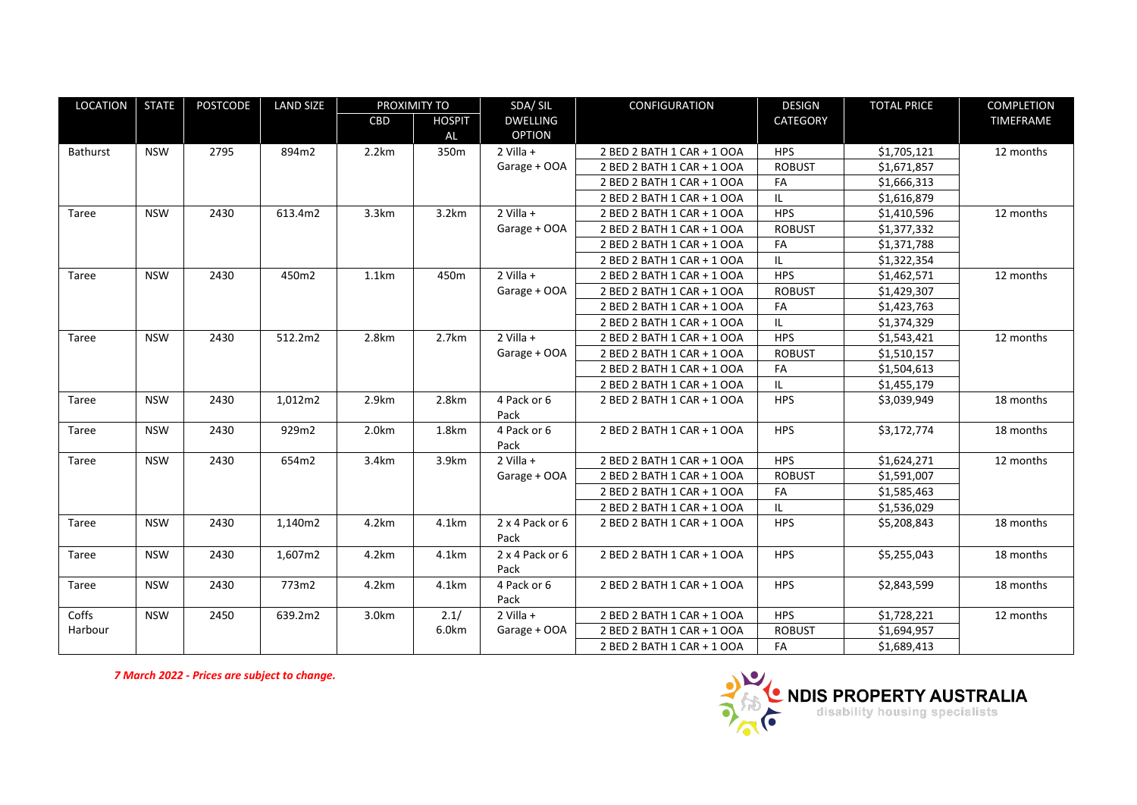| LOCATION | <b>STATE</b> | <b>POSTCODE</b> | <b>LAND SIZE</b> | PROXIMITY TO |               | SDA/SIL         | <b>CONFIGURATION</b>       | <b>DESIGN</b> | <b>TOTAL PRICE</b> | COMPLETION |
|----------|--------------|-----------------|------------------|--------------|---------------|-----------------|----------------------------|---------------|--------------------|------------|
|          |              |                 |                  | CBD          | <b>HOSPIT</b> | <b>DWELLING</b> |                            | CATEGORY      |                    | TIMEFRAME  |
|          |              |                 |                  |              | AL            | <b>OPTION</b>   |                            |               |                    |            |
| Bathurst | <b>NSW</b>   | 2795            | 894m2            | 2.2km        | 350m          | $2$ Villa +     | 2 BED 2 BATH 1 CAR + 1 OOA | <b>HPS</b>    | \$1,705,121        | 12 months  |
|          |              |                 |                  |              |               | Garage + OOA    | 2 BED 2 BATH 1 CAR + 1 OOA | <b>ROBUST</b> | \$1,671,857        |            |
|          |              |                 |                  |              |               |                 | 2 BED 2 BATH 1 CAR + 1 OOA | FA            | \$1,666,313        |            |
|          |              |                 |                  |              |               |                 | 2 BED 2 BATH 1 CAR + 1 OOA | IL.           | \$1,616,879        |            |
| Taree    | <b>NSW</b>   | 2430            | 613.4m2          | 3.3km        | 3.2km         | $2$ Villa +     | 2 BED 2 BATH 1 CAR + 1 OOA | <b>HPS</b>    | \$1,410,596        | 12 months  |
|          |              |                 |                  |              |               | Garage + OOA    | 2 BED 2 BATH 1 CAR + 1 OOA | <b>ROBUST</b> | \$1,377,332        |            |
|          |              |                 |                  |              |               |                 | 2 BED 2 BATH 1 CAR + 1 OOA | FA            | \$1,371,788        |            |
|          |              |                 |                  |              |               |                 | 2 BED 2 BATH 1 CAR + 1 OOA | IL.           | \$1,322,354        |            |
| Taree    | <b>NSW</b>   | 2430            | 450m2            | 1.1km        | 450m          | $2$ Villa +     | 2 BED 2 BATH 1 CAR + 1 OOA | <b>HPS</b>    | \$1,462,571        | 12 months  |
|          |              |                 |                  |              |               | Garage + OOA    | 2 BED 2 BATH 1 CAR + 1 OOA | <b>ROBUST</b> | \$1,429,307        |            |
|          |              |                 |                  |              |               |                 | 2 BED 2 BATH 1 CAR + 1 OOA | FA            | \$1,423,763        |            |
|          |              |                 |                  |              |               |                 | 2 BED 2 BATH 1 CAR + 1 OOA | IL.           | \$1,374,329        |            |
| Taree    | <b>NSW</b>   | 2430            | 512.2m2          | 2.8km        | 2.7km         | $2$ Villa +     | 2 BED 2 BATH 1 CAR + 1 OOA | <b>HPS</b>    | \$1,543,421        | 12 months  |
|          |              |                 |                  |              |               | Garage + OOA    | 2 BED 2 BATH 1 CAR + 1 OOA | <b>ROBUST</b> | \$1,510,157        |            |
|          |              |                 |                  |              |               |                 | 2 BED 2 BATH 1 CAR + 1 OOA | FA            | \$1.504.613        |            |
|          |              |                 |                  |              |               |                 | 2 BED 2 BATH 1 CAR + 1 OOA | IL.           | \$1,455,179        |            |
| Taree    | <b>NSW</b>   | 2430            | 1,012m2          | 2.9km        | 2.8km         | 4 Pack or 6     | 2 BED 2 BATH 1 CAR + 1 OOA | <b>HPS</b>    | \$3,039,949        | 18 months  |
|          |              |                 |                  |              |               | Pack            |                            |               |                    |            |
| Taree    | <b>NSW</b>   | 2430            | 929m2            | 2.0km        | 1.8km         | 4 Pack or 6     | 2 BED 2 BATH 1 CAR + 1 OOA | <b>HPS</b>    | \$3,172,774        | 18 months  |
|          |              |                 |                  |              |               | Pack            |                            |               |                    |            |
| Taree    | <b>NSW</b>   | 2430            | 654m2            | 3.4km        | 3.9km         | $2$ Villa +     | 2 BED 2 BATH 1 CAR + 1 OOA | <b>HPS</b>    | \$1,624,271        | 12 months  |
|          |              |                 |                  |              |               | Garage + OOA    | 2 BED 2 BATH 1 CAR + 1 OOA | <b>ROBUST</b> | \$1,591,007        |            |
|          |              |                 |                  |              |               |                 | 2 BED 2 BATH 1 CAR + 1 OOA | FA            | \$1,585,463        |            |
|          |              |                 |                  |              |               |                 | 2 BED 2 BATH 1 CAR + 1 OOA | IL.           | \$1,536,029        |            |
| Taree    | <b>NSW</b>   | 2430            | 1,140m2          | 4.2km        | 4.1km         | 2 x 4 Pack or 6 | 2 BED 2 BATH 1 CAR + 1 OOA | <b>HPS</b>    | \$5,208,843        | 18 months  |
|          |              |                 |                  |              |               | Pack            |                            |               |                    |            |
| Taree    | <b>NSW</b>   | 2430            | 1,607m2          | 4.2km        | 4.1km         | 2 x 4 Pack or 6 | 2 BED 2 BATH 1 CAR + 1 OOA | <b>HPS</b>    | \$5,255,043        | 18 months  |
|          |              |                 |                  |              |               | Pack            |                            |               |                    |            |
| Taree    | <b>NSW</b>   | 2430            | 773m2            | 4.2km        | 4.1km         | 4 Pack or 6     | 2 BED 2 BATH 1 CAR + 1 OOA | <b>HPS</b>    | \$2,843,599        | 18 months  |
|          |              |                 |                  |              |               | Pack            |                            |               |                    |            |
| Coffs    | <b>NSW</b>   | 2450            | 639.2m2          | 3.0km        | 2.1/          | 2 Villa +       | 2 BED 2 BATH 1 CAR + 1 OOA | <b>HPS</b>    | \$1,728,221        | 12 months  |
| Harbour  |              |                 |                  |              | 6.0km         | Garage + OOA    | 2 BED 2 BATH 1 CAR + 1 OOA | <b>ROBUST</b> | \$1,694,957        |            |
|          |              |                 |                  |              |               |                 | 2 BED 2 BATH 1 CAR + 1 OOA | FA            | \$1,689,413        |            |

*7 March 2022 - Prices are subject to change.*